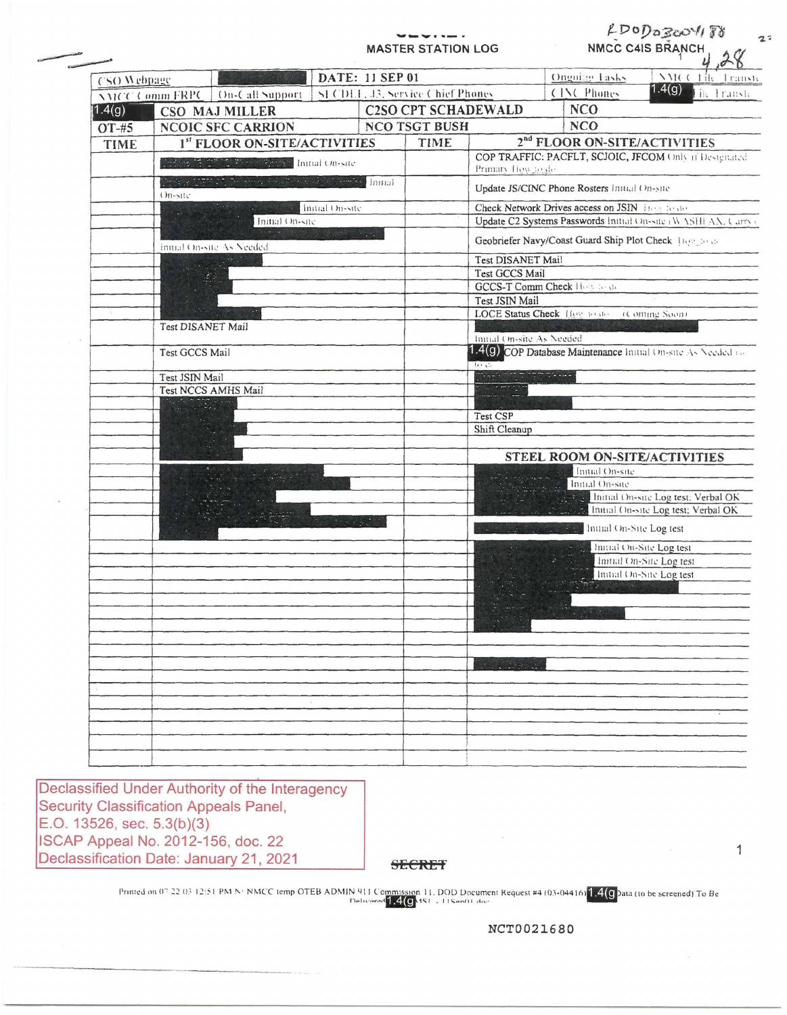----------**MASTER STATION LOG** 

LDODOZOOVITO NMCC C4IS BRANCH

 $2<sup>7</sup>$ 

| CSO Webpage |                                                    |                                                                      |  | DATE: 11 SEP 01                   |                                          |                                                                            | Ongoing Tasks                                                | <b><i>NICOTIK</i></b><br>Transh                                                             |  |
|-------------|----------------------------------------------------|----------------------------------------------------------------------|--|-----------------------------------|------------------------------------------|----------------------------------------------------------------------------|--------------------------------------------------------------|---------------------------------------------------------------------------------------------|--|
|             | <b>NMCC Comm FRPC</b>                              | On-Call Support                                                      |  | SI CDEL, J3, Service Chief Phones |                                          |                                                                            | CINC Phones                                                  | 1.4(g)<br><b>Hichransh</b>                                                                  |  |
| 1.4(g)      | CSO MAJ MILLER                                     |                                                                      |  |                                   | <b>NCO</b><br><b>C2SO CPT SCHADEWALD</b> |                                                                            |                                                              |                                                                                             |  |
| OT-#5       |                                                    | <b>NCOIC SFC CARRION</b>                                             |  |                                   | <b>NCO TSGT BUSH</b>                     |                                                                            | <b>NCO</b>                                                   |                                                                                             |  |
| <b>TIME</b> |                                                    | 1st FLOOR ON-SITE/ACTIVITIES                                         |  |                                   | TIME                                     |                                                                            | 2 <sup>nd</sup> FLOOR ON-SITE/ACTIVITIES                     |                                                                                             |  |
|             | Present of Child Freme Fried Initial On-site       |                                                                      |  |                                   |                                          | COP TRAFFIC: PACFLT, SCJOIC, JFCOM Only 11 Designated<br>Primary How to do |                                                              |                                                                                             |  |
|             |                                                    | indeed UST 2.1 January 2003, 2003, 2004, 2005, 1999, 1999<br>On-site |  |                                   |                                          | Update JS/CINC Phone Rosters Initial On-site                               |                                                              |                                                                                             |  |
|             | Initial On-site                                    |                                                                      |  |                                   |                                          | Check Network Drives access on JSIN How to do                              |                                                              |                                                                                             |  |
|             | Initial On-site                                    |                                                                      |  |                                   |                                          | Update C2 Systems Passwords Initial On-site (WASHEAN, Carry)               |                                                              |                                                                                             |  |
|             | A Partie De Marie Terre<br>immal On-site As Needed |                                                                      |  |                                   |                                          | Geobriefer Navy/Coast Guard Ship Plot Check Trees and                      |                                                              |                                                                                             |  |
|             |                                                    |                                                                      |  |                                   |                                          | Test DISANET Mail                                                          |                                                              |                                                                                             |  |
|             |                                                    |                                                                      |  |                                   |                                          | Test GCCS Mail<br>GCCS-T Comm Check How to the                             |                                                              |                                                                                             |  |
|             |                                                    |                                                                      |  |                                   |                                          | Test JSIN Mail                                                             |                                                              |                                                                                             |  |
|             |                                                    |                                                                      |  |                                   |                                          |                                                                            | LOCE Status Check Hog to de (Coming Soon)                    |                                                                                             |  |
|             | Test DISANET Mail                                  |                                                                      |  |                                   |                                          |                                                                            |                                                              |                                                                                             |  |
|             |                                                    |                                                                      |  |                                   |                                          | Initial On-site As Needed                                                  |                                                              |                                                                                             |  |
|             | Test GCCS Mail                                     |                                                                      |  |                                   |                                          | to co.                                                                     | 1.4(g) COP Database Maintenance Initial On-site As Needed on |                                                                                             |  |
|             | Test JSIN Mail                                     |                                                                      |  |                                   |                                          | $\mathcal{L}_{\text{max}}$ , the spectrum space $\mathcal{L}_{\text{max}}$ |                                                              |                                                                                             |  |
|             |                                                    | Test NCCS AMHS Mail                                                  |  |                                   |                                          |                                                                            |                                                              |                                                                                             |  |
|             |                                                    | $\overline{\mathbb{C}(\mathbb{C}(\mathbb{C}_p)^{\times})}$ and       |  |                                   |                                          |                                                                            |                                                              |                                                                                             |  |
|             |                                                    |                                                                      |  |                                   |                                          | Test CSP<br>Shift Cleanup                                                  |                                                              |                                                                                             |  |
|             |                                                    |                                                                      |  |                                   |                                          |                                                                            |                                                              |                                                                                             |  |
|             |                                                    |                                                                      |  |                                   |                                          |                                                                            | STEEL ROOM ON-SITE/ACTIVITIES                                |                                                                                             |  |
|             |                                                    |                                                                      |  |                                   |                                          |                                                                            | Initial On-site                                              |                                                                                             |  |
|             |                                                    |                                                                      |  |                                   |                                          |                                                                            | Initial On-site                                              |                                                                                             |  |
|             |                                                    |                                                                      |  |                                   |                                          |                                                                            |                                                              | Initial On-site Log test; Verbal OK<br><b>Community</b> Initial On-site Log test; Verbal OK |  |
|             |                                                    |                                                                      |  |                                   |                                          |                                                                            | <b>Community</b> On-Site Log test                            |                                                                                             |  |
|             |                                                    |                                                                      |  |                                   |                                          |                                                                            |                                                              | Initial On-Site Log test                                                                    |  |
|             |                                                    |                                                                      |  |                                   |                                          |                                                                            |                                                              | Initial On-Site Log test                                                                    |  |
|             |                                                    |                                                                      |  |                                   |                                          |                                                                            |                                                              | Initial On-Site Log test                                                                    |  |
|             |                                                    |                                                                      |  |                                   |                                          |                                                                            |                                                              |                                                                                             |  |
|             |                                                    |                                                                      |  |                                   |                                          |                                                                            |                                                              |                                                                                             |  |
|             |                                                    |                                                                      |  |                                   |                                          |                                                                            |                                                              |                                                                                             |  |
|             |                                                    |                                                                      |  |                                   |                                          |                                                                            |                                                              |                                                                                             |  |
|             |                                                    |                                                                      |  |                                   |                                          |                                                                            |                                                              |                                                                                             |  |
|             |                                                    |                                                                      |  |                                   |                                          |                                                                            |                                                              |                                                                                             |  |
|             |                                                    |                                                                      |  |                                   |                                          |                                                                            |                                                              |                                                                                             |  |
|             |                                                    |                                                                      |  |                                   |                                          |                                                                            |                                                              |                                                                                             |  |
|             |                                                    |                                                                      |  |                                   |                                          |                                                                            |                                                              |                                                                                             |  |
|             |                                                    |                                                                      |  |                                   |                                          |                                                                            |                                                              |                                                                                             |  |
|             |                                                    |                                                                      |  |                                   |                                          |                                                                            |                                                              |                                                                                             |  |
|             |                                                    |                                                                      |  |                                   |                                          |                                                                            |                                                              |                                                                                             |  |

Declassified Under Authority of the Interagency Security Classification Appeals Panel, E.O. 13526, sec. 5.3(b)(3) ISCAP Appeal No. 2012-156, doc. 22 Declassification Date: January 21, 2021

**SECRET** 

 $\mathbf{1}$ 

Printed on 07 22 03 12:51 PM N: NMCC temp OTEB ADMIN 911 Commission 11, DOD Document Request #4 (03-04416) 1.4(9 ata (to be screened) To Be

NCT0021680